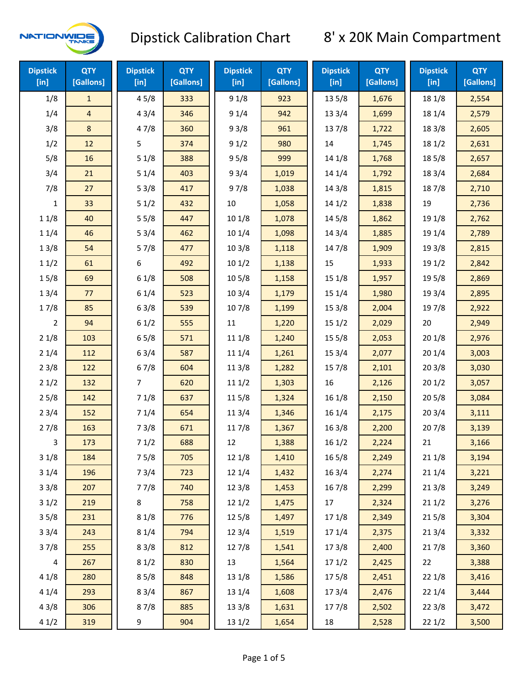

| <b>Dipstick</b><br>$[$ in] | <b>QTY</b><br>[Gallons] | <b>Dipstick</b><br>[in] | <b>QTY</b><br>[Gallons] | <b>Dipstick</b><br>[in] | <b>QTY</b><br>[Gallons] | <b>Dipstick</b><br>[in] | <b>QTY</b><br>[Gallons] | <b>Dipstick</b><br>$[$ in] | <b>QTY</b><br>[Gallons] |
|----------------------------|-------------------------|-------------------------|-------------------------|-------------------------|-------------------------|-------------------------|-------------------------|----------------------------|-------------------------|
| 1/8                        | $\mathbf{1}$            | 45/8                    | 333                     | 91/8                    | 923                     | 13 5/8                  | 1,676                   | 18 1/8                     | 2,554                   |
| 1/4                        | 4                       | 43/4                    | 346                     | 91/4                    | 942                     | 13 3/4                  | 1,699                   | 18 1/4                     | 2,579                   |
| 3/8                        | 8                       | 47/8                    | 360                     | 93/8                    | 961                     | 137/8                   | 1,722                   | 18 3/8                     | 2,605                   |
| 1/2                        | 12                      | 5                       | 374                     | 91/2                    | 980                     | 14                      | 1,745                   | 18 1/2                     | 2,631                   |
| 5/8                        | 16                      | 51/8                    | 388                     | 95/8                    | 999                     | 14 1/8                  | 1,768                   | 185/8                      | 2,657                   |
| 3/4                        | 21                      | 51/4                    | 403                     | 93/4                    | 1,019                   | 14 1/4                  | 1,792                   | 18 3/4                     | 2,684                   |
| 7/8                        | 27                      | 53/8                    | 417                     | 97/8                    | 1,038                   | 14 3/8                  | 1,815                   | 187/8                      | 2,710                   |
| 1                          | 33                      | 51/2                    | 432                     | 10                      | 1,058                   | 141/2                   | 1,838                   | 19                         | 2,736                   |
| 11/8                       | 40                      | 55/8                    | 447                     | 10 1/8                  | 1,078                   | 14 5/8                  | 1,862                   | 19 1/8                     | 2,762                   |
| 11/4                       | 46                      | 53/4                    | 462                     | 10 1/4                  | 1,098                   | 14 3/4                  | 1,885                   | 19 1/4                     | 2,789                   |
| 13/8                       | 54                      | 57/8                    | 477                     | 103/8                   | 1,118                   | 147/8                   | 1,909                   | 19 3/8                     | 2,815                   |
| 11/2                       | 61                      | 6                       | 492                     | 101/2                   | 1,138                   | 15                      | 1,933                   | 19 1/2                     | 2,842                   |
| 15/8                       | 69                      | 61/8                    | 508                     | 10 <sub>5</sub> /8      | 1,158                   | 151/8                   | 1,957                   | 19 5/8                     | 2,869                   |
| 13/4                       | 77                      | 61/4                    | 523                     | 103/4                   | 1,179                   | 151/4                   | 1,980                   | 19 3/4                     | 2,895                   |
| 17/8                       | 85                      | 63/8                    | 539                     | 107/8                   | 1,199                   | 153/8                   | 2,004                   | 197/8                      | 2,922                   |
| $\overline{2}$             | 94                      | 61/2                    | 555                     | $11\,$                  | 1,220                   | 151/2                   | 2,029                   | 20                         | 2,949                   |
| 21/8                       | 103                     | 65/8                    | 571                     | 11 1/8                  | 1,240                   | 15 <sub>5</sub> /8      | 2,053                   | 201/8                      | 2,976                   |
| 21/4                       | 112                     | 63/4                    | 587                     | 11 1/4                  | 1,261                   | 153/4                   | 2,077                   | 201/4                      | 3,003                   |
| 23/8                       | 122                     | 67/8                    | 604                     | 11 3/8                  | 1,282                   | 15 7/8                  | 2,101                   | 203/8                      | 3,030                   |
| 21/2                       | 132                     | 7                       | 620                     | 111/2                   | 1,303                   | 16                      | 2,126                   | 201/2                      | 3,057                   |
| 25/8                       | 142                     | 71/8                    | 637                     | 115/8                   | 1,324                   | 16 1/8                  | 2,150                   | 205/8                      | 3,084                   |
| 23/4                       | 152                     | 71/4                    | 654                     | 11 3/4                  | 1,346                   | 16 1/4                  | 2,175                   | 203/4                      | 3,111                   |
| 27/8                       | 163                     | 73/8                    | 671                     | 117/8                   | 1,367                   | 163/8                   | 2,200                   | 207/8                      | 3,139                   |
| 3                          | 173                     | 71/2                    | 688                     | 12                      | 1,388                   | 161/2                   | 2,224                   | 21                         | 3,166                   |
| 31/8                       | 184                     | 75/8                    | 705                     | 12 1/8                  | 1,410                   | $16\,5/8$               | 2,249                   | 211/8                      | 3,194                   |
| 31/4                       | 196                     | 73/4                    | 723                     | 12 1/4                  | 1,432                   | 16 3/4                  | 2,274                   | 211/4                      | 3,221                   |
| 33/8                       | 207                     | 77/8                    | 740                     | 12 3/8                  | 1,453                   | 16 7/8                  | 2,299                   | 213/8                      | 3,249                   |
| 31/2                       | 219                     | 8                       | 758                     | 121/2                   | 1,475                   | 17                      | 2,324                   | 211/2                      | 3,276                   |
| 35/8                       | 231                     | 81/8                    | 776                     | 12 5/8                  | 1,497                   | 17 1/8                  | 2,349                   | 215/8                      | 3,304                   |
| 33/4                       | 243                     | 81/4                    | 794                     | 123/4                   | 1,519                   | 17 1/4                  | 2,375                   | 213/4                      | 3,332                   |
| 37/8                       | 255                     | 83/8                    | 812                     | 12 7/8                  | 1,541                   | 173/8                   | 2,400                   | 217/8                      | 3,360                   |
| 4                          | 267                     | 81/2                    | 830                     | 13                      | 1,564                   | 171/2                   | 2,425                   | 22                         | 3,388                   |
| 41/8                       | 280                     | 85/8                    | 848                     | 13 1/8                  | 1,586                   | 175/8                   | 2,451                   | 22 1/8                     | 3,416                   |
| 41/4                       | 293                     | 83/4                    | 867                     | 13 1/4                  | 1,608                   | 173/4                   | 2,476                   | 221/4                      | 3,444                   |
| 43/8                       | 306                     | 87/8                    | 885                     | 13 3/8                  | 1,631                   | 177/8                   | 2,502                   | 223/8                      | 3,472                   |
| 41/2                       | 319                     | 9                       | 904                     | 13 1/2                  | 1,654                   | 18                      | 2,528                   | 221/2                      | 3,500                   |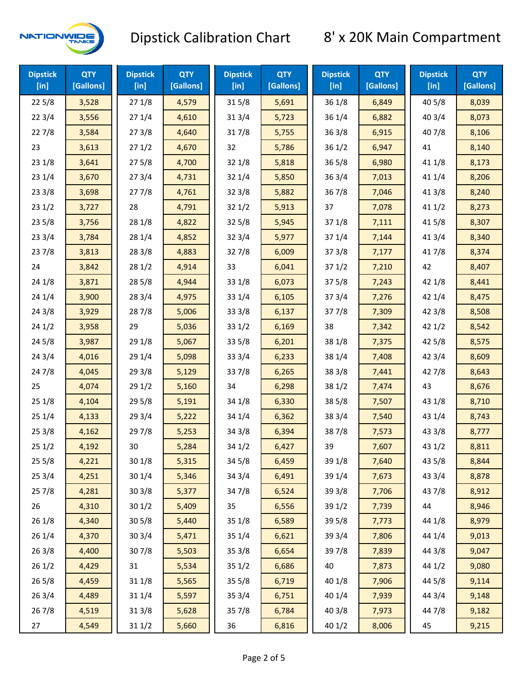

| <b>Dipstick</b><br>$[$ in] | <b>QTY</b><br>[Gallons] | <b>Dipstick</b><br>$[$ in] | <b>QTY</b><br>[Gallons] | <b>Dipstick</b><br>$[$ in] | <b>QTY</b><br>[Gallons] | <b>Dipstick</b><br>[in] | <b>QTY</b><br>[Gallons] | <b>Dipstick</b><br>$[$ in] | <b>QTY</b><br>[Gallons] |
|----------------------------|-------------------------|----------------------------|-------------------------|----------------------------|-------------------------|-------------------------|-------------------------|----------------------------|-------------------------|
| 225/8                      | 3,528                   | 271/8                      | 4,579                   | 315/8                      | 5,691                   | 36 1/8                  | 6,849                   | 40 5/8                     | 8,039                   |
| 223/4                      | 3,556                   | 271/4                      | 4,610                   | 31 3/4                     | 5,723                   | 36 1/4                  | 6,882                   | 40 3/4                     | 8,073                   |
| 227/8                      | 3,584                   | 273/8                      | 4,640                   | 317/8                      | 5,755                   | 363/8                   | 6,915                   | 407/8                      | 8,106                   |
| 23                         | 3,613                   | 271/2                      | 4,670                   | 32                         | 5,786                   | 361/2                   | 6,947                   | 41                         | 8,140                   |
| 231/8                      | 3,641                   | 275/8                      | 4,700                   | 32 1/8                     | 5,818                   | $36\,5/8$               | 6,980                   | 41 1/8                     | 8,173                   |
| 231/4                      | 3,670                   | 273/4                      | 4,731                   | 321/4                      | 5,850                   | 363/4                   | 7,013                   | 41 1/4                     | 8,206                   |
| 233/8                      | 3,698                   | 277/8                      | 4,761                   | 323/8                      | 5,882                   | 36 7/8                  | 7,046                   | 41 3/8                     | 8,240                   |
| 231/2                      | 3,727                   | 28                         | 4,791                   | 321/2                      | 5,913                   | 37                      | 7,078                   | 411/2                      | 8,273                   |
| 235/8                      | 3,756                   | 28 1/8                     | 4,822                   | 325/8                      | 5,945                   | 371/8                   | 7,111                   | 41 5/8                     | 8,307                   |
| 233/4                      | 3,784                   | 28 1/4                     | 4,852                   | 32 3/4                     | 5,977                   | 37 1/4                  | 7,144                   | 41 3/4                     | 8,340                   |
| 237/8                      | 3,813                   | 28 3/8                     | 4,883                   | 327/8                      | 6,009                   | 373/8                   | 7,177                   | 417/8                      | 8,374                   |
| 24                         | 3,842                   | 281/2                      | 4,914                   | 33                         | 6,041                   | 371/2                   | 7,210                   | 42                         | 8,407                   |
| 24 1/8                     | 3,871                   | 28 5/8                     | 4,944                   | 33 1/8                     | 6,073                   | 375/8                   | 7,243                   | 42 1/8                     | 8,441                   |
| 241/4                      | 3,900                   | 28 3/4                     | 4,975                   | 33 1/4                     | 6,105                   | 373/4                   | 7,276                   | 42 1/4                     | 8,475                   |
| 243/8                      | 3,929                   | 287/8                      | 5,006                   | 33 3/8                     | 6,137                   | 377/8                   | 7,309                   | 42 3/8                     | 8,508                   |
| 241/2                      | 3,958                   | 29                         | 5,036                   | 331/2                      | 6,169                   | 38                      | 7,342                   | 421/2                      | 8,542                   |
| 245/8                      | 3,987                   | 29 1/8                     | 5,067                   | 33 5/8                     | 6,201                   | 38 1/8                  | 7,375                   | 42 5/8                     | 8,575                   |
| 243/4                      | 4,016                   | 29 1/4                     | 5,098                   | 33 3/4                     | 6,233                   | 38 1/4                  | 7,408                   | 42 3/4                     | 8,609                   |
| 24 7/8                     | 4,045                   | 293/8                      | 5,129                   | 337/8                      | 6,265                   | 38 3/8                  | 7,441                   | 42 7/8                     | 8,643                   |
| 25                         | 4,074                   | 29 1/2                     | 5,160                   | 34                         | 6,298                   | 38 1/2                  | 7,474                   | 43                         | 8,676                   |
| 25 1/8                     | 4,104                   | 29 5/8                     | 5,191                   | 34 1/8                     | 6,330                   | 38 5/8                  | 7,507                   | 43 1/8                     | 8,710                   |
| 251/4                      | 4,133                   | 29 3/4                     | 5,222                   | 34 1/4                     | 6,362                   | 38 3/4                  | 7,540                   | 43 1/4                     | 8,743                   |
| 253/8                      | 4,162                   | 297/8                      | 5,253                   | 34 3/8                     | 6,394                   | 387/8                   | 7,573                   | 43 3/8                     | 8,777                   |
| 251/2                      | 4,192                   | 30                         | 5,284                   | 34 1/2                     | 6,427                   | 39                      | 7,607                   | 431/2                      | 8,811                   |
| 255/8                      | 4,221                   | 301/8                      | 5,315                   | 34 5/8                     | 6,459                   | 39 1/8                  | 7,640                   | 43 5/8                     | 8,844                   |
| 253/4                      | 4,251                   | 30 1/4                     | 5,346                   | 34 3/4                     | 6,491                   | 39 1/4                  | 7,673                   | 43 3/4                     | 8,878                   |
| 257/8                      | 4,281                   | 303/8                      | 5,377                   | 347/8                      | 6,524                   | 39 3/8                  | 7,706                   | 437/8                      | 8,912                   |
| 26                         | 4,310                   | 301/2                      | 5,409                   | 35                         | 6,556                   | 39 1/2                  | 7,739                   | 44                         | 8,946                   |
| 26 1/8                     | 4,340                   | 305/8                      | 5,440                   | 35 1/8                     | 6,589                   | 39 5/8                  | 7,773                   | 44 1/8                     | 8,979                   |
| 26 1/4                     | 4,370                   | 30 3/4                     | 5,471                   | 35 1/4                     | 6,621                   | 39 3/4                  | 7,806                   | 44 1/4                     | 9,013                   |
| 263/8                      | 4,400                   | 307/8                      | 5,503                   | 35 3/8                     | 6,654                   | 397/8                   | 7,839                   | 44 3/8                     | 9,047                   |
| 261/2                      | 4,429                   | 31                         | 5,534                   | 351/2                      | 6,686                   | 40                      | 7,873                   | 44 1/2                     | 9,080                   |
| 26 5/8                     | 4,459                   | 31 1/8                     | 5,565                   | 35 5/8                     | 6,719                   | 40 1/8                  | 7,906                   | 44 5/8                     | 9,114                   |
| 263/4                      | 4,489                   | 31 1/4                     | 5,597                   | 35 3/4                     | 6,751                   | 40 1/4                  | 7,939                   | 44 3/4                     | 9,148                   |
| 267/8                      | 4,519                   | 31 3/8                     | 5,628                   | 357/8                      | 6,784                   | 40 3/8                  | 7,973                   | 447/8                      | 9,182                   |
| 27                         | 4,549                   | 31 1/2                     | 5,660                   | 36                         | 6,816                   | 40 1/2                  | 8,006                   | 45                         | 9,215                   |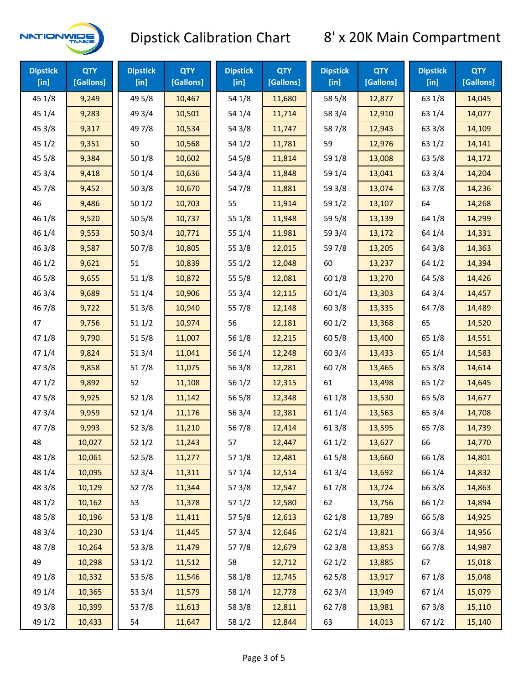

| <b>Dipstick</b><br>$[$ in] | <b>QTY</b><br>[Gallons] | <b>Dipstick</b><br>$[$ in] | <b>QTY</b><br>[Gallons] | <b>Dipstick</b><br>[in] | <b>QTY</b><br>[Gallons] | <b>Dipstick</b><br>$[$ in] | <b>QTY</b><br>[Gallons] | <b>Dipstick</b><br>[in] | <b>QTY</b><br>[Gallons] |
|----------------------------|-------------------------|----------------------------|-------------------------|-------------------------|-------------------------|----------------------------|-------------------------|-------------------------|-------------------------|
| 45 1/8                     | 9,249                   | 49 5/8                     | 10,467                  | 54 1/8                  | 11,680                  | 58 5/8                     | 12,877                  | 63 1/8                  | 14,045                  |
| 45 1/4                     | 9,283                   | 49 3/4                     | 10,501                  | 54 1/4                  | 11,714                  | 58 3/4                     | 12,910                  | 63 1/4                  | 14,077                  |
| 45 3/8                     | 9,317                   | 49 7/8                     | 10,534                  | 54 3/8                  | 11,747                  | 587/8                      | 12,943                  | 63 3/8                  | 14,109                  |
| 451/2                      | 9,351                   | 50                         | 10,568                  | 54 1/2                  | 11,781                  | 59                         | 12,976                  | 63 1/2                  | 14,141                  |
| 45 5/8                     | 9,384                   | 501/8                      | 10,602                  | 54 5/8                  | 11,814                  | 59 1/8                     | 13,008                  | 63 5/8                  | 14,172                  |
| 45 3/4                     | 9,418                   | 501/4                      | 10,636                  | 54 3/4                  | 11,848                  | 59 1/4                     | 13,041                  | 63 3/4                  | 14,204                  |
| 45 7/8                     | 9,452                   | 503/8                      | 10,670                  | 54 7/8                  | 11,881                  | 59 3/8                     | 13,074                  | 637/8                   | 14,236                  |
| 46                         | 9,486                   | 501/2                      | 10,703                  | 55                      | 11,914                  | 59 1/2                     | 13,107                  | 64                      | 14,268                  |
| 46 1/8                     | 9,520                   | 505/8                      | 10,737                  | 55 1/8                  | 11,948                  | 59 5/8                     | 13,139                  | 64 1/8                  | 14,299                  |
| 46 1/4                     | 9,553                   | 503/4                      | 10,771                  | 55 1/4                  | 11,981                  | 59 3/4                     | 13,172                  | 64 1/4                  | 14,331                  |
| 46 3/8                     | 9,587                   | 507/8                      | 10,805                  | 55 3/8                  | 12,015                  | 597/8                      | 13,205                  | 64 3/8                  | 14,363                  |
| 46 1/2                     | 9,621                   | 51                         | 10,839                  | 551/2                   | 12,048                  | 60                         | 13,237                  | 64 1/2                  | 14,394                  |
| 46 5/8                     | 9,655                   | 51 1/8                     | 10,872                  | 55 5/8                  | 12,081                  | 60 1/8                     | 13,270                  | 64 5/8                  | 14,426                  |
| 46 3/4                     | 9,689                   | 51 1/4                     | 10,906                  | 55 3/4                  | 12,115                  | 60 1/4                     | 13,303                  | 64 3/4                  | 14,457                  |
| 46 7/8                     | 9,722                   | 513/8                      | 10,940                  | 55 7/8                  | 12,148                  | 60 3/8                     | 13,335                  | 647/8                   | 14,489                  |
| 47                         | 9,756                   | 511/2                      | 10,974                  | 56                      | 12,181                  | 601/2                      | 13,368                  | 65                      | 14,520                  |
| 47 1/8                     | 9,790                   | 515/8                      | 11,007                  | 56 1/8                  | 12,215                  | 60 5/8                     | 13,400                  | 65 1/8                  | 14,551                  |
| 47 1/4                     | 9,824                   | 51 3/4                     | 11,041                  | 56 1/4                  | 12,248                  | 60 3/4                     | 13,433                  | 65 1/4                  | 14,583                  |
| 47 3/8                     | 9,858                   | 517/8                      | 11,075                  | 56 3/8                  | 12,281                  | 607/8                      | 13,465                  | 65 3/8                  | 14,614                  |
| 471/2                      | 9,892                   | 52                         | 11,108                  | 56 1/2                  | 12,315                  | 61                         | 13,498                  | 65 1/2                  | 14,645                  |
| 475/8                      | 9,925                   | 521/8                      | 11,142                  | 56 5/8                  | 12,348                  | 61 1/8                     | 13,530                  | 65 5/8                  | 14,677                  |
| 473/4                      | 9,959                   | 521/4                      | 11,176                  | 56 3/4                  | 12,381                  | 61 1/4                     | 13,563                  | 65 3/4                  | 14,708                  |
| 477/8                      | 9,993                   | 52 3/8                     | 11,210                  | 567/8                   | 12,414                  | 61 3/8                     | 13,595                  | 65 7/8                  | 14,739                  |
| 48                         | 10,027                  | 521/2                      | 11,243                  | 57                      | 12,447                  | 611/2                      | 13,627                  | 66                      | 14,770                  |
| 48 1/8                     | 10,061                  | 525/8                      | 11,277                  | 57 1/8                  | 12,481                  | 615/8                      | 13,660                  | 66 1/8                  | 14,801                  |
| 48 1/4                     | 10,095                  | 52 3/4                     | 11,311                  | 57 1/4                  | 12,514                  | 61 3/4                     | 13,692                  | 66 1/4                  | 14,832                  |
| 48 3/8                     | 10,129                  | 527/8                      | 11,344                  | 57 3/8                  | 12,547                  | 617/8                      | 13,724                  | 66 3/8                  | 14,863                  |
| 48 1/2                     | 10,162                  | 53                         | 11,378                  | 57 1/2                  | 12,580                  | 62                         | 13,756                  | 66 1/2                  | 14,894                  |
| 48 5/8                     | 10,196                  | 53 1/8                     | 11,411                  | 57 5/8                  | 12,613                  | 62 1/8                     | 13,789                  | 66 5/8                  | 14,925                  |
| 48 3/4                     | 10,230                  | 53 1/4                     | 11,445                  | 573/4                   | 12,646                  | 62 1/4                     | 13,821                  | 66 3/4                  | 14,956                  |
| 487/8                      | 10,264                  | 53 3/8                     | 11,479                  | 577/8                   | 12,679                  | 62 3/8                     | 13,853                  | 667/8                   | 14,987                  |
| 49                         | 10,298                  | 53 1/2                     | 11,512                  | 58                      | 12,712                  | 62 1/2                     | 13,885                  | 67                      | 15,018                  |
| 49 1/8                     | 10,332                  | 53 5/8                     | 11,546                  | 58 1/8                  | 12,745                  | 62 5/8                     | 13,917                  | 671/8                   | 15,048                  |
| 49 1/4                     | 10,365                  | 53 3/4                     | 11,579                  | 58 1/4                  | 12,778                  | 62 3/4                     | 13,949                  | 671/4                   | 15,079                  |
| 49 3/8                     | 10,399                  | 537/8                      | 11,613                  | 58 3/8                  | 12,811                  | 627/8                      | 13,981                  | 673/8                   | 15,110                  |
| 49 1/2                     | 10,433                  | 54                         | 11,647                  | 58 1/2                  | 12,844                  | 63                         | 14,013                  | 67 1/2                  | 15,140                  |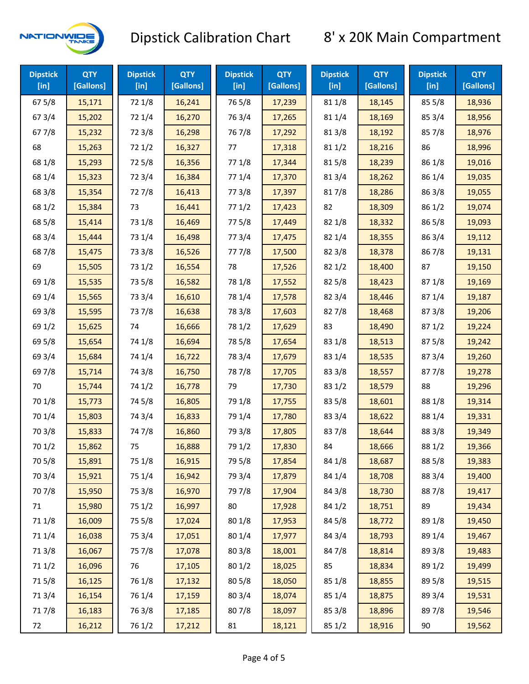

| <b>Dipstick</b><br>$[$ in] | <b>QTY</b><br>[Gallons] | <b>Dipstick</b><br>$[$ in] | <b>QTY</b><br>[Gallons] | <b>Dipstick</b><br>$[$ in] | <b>QTY</b><br>[Gallons] | <b>Dipstick</b><br>$[$ in] | <b>QTY</b><br>[Gallons] | <b>Dipstick</b><br>[in] | <b>QTY</b><br>[Gallons] |
|----------------------------|-------------------------|----------------------------|-------------------------|----------------------------|-------------------------|----------------------------|-------------------------|-------------------------|-------------------------|
| 675/8                      | 15,171                  | 72 1/8                     | 16,241                  | 765/8                      | 17,239                  | 81 1/8                     | 18,145                  | 85 5/8                  | 18,936                  |
| 67 3/4                     | 15,202                  | 72 1/4                     | 16,270                  | 763/4                      | 17,265                  | 81 1/4                     | 18,169                  | 85 3/4                  | 18,956                  |
| 677/8                      | 15,232                  | 72 3/8                     | 16,298                  | 767/8                      | 17,292                  | 81 3/8                     | 18,192                  | 857/8                   | 18,976                  |
| 68                         | 15,263                  | 72 1/2                     | 16,327                  | 77                         | 17,318                  | 811/2                      | 18,216                  | 86                      | 18,996                  |
| 68 1/8                     | 15,293                  | 725/8                      | 16,356                  | 77 1/8                     | 17,344                  | 815/8                      | 18,239                  | 86 1/8                  | 19,016                  |
| 68 1/4                     | 15,323                  | 72 3/4                     | 16,384                  | 77 1/4                     | 17,370                  | 813/4                      | 18,262                  | 86 1/4                  | 19,035                  |
| 68 3/8                     | 15,354                  | 727/8                      | 16,413                  | 77 3/8                     | 17,397                  | 817/8                      | 18,286                  | 86 3/8                  | 19,055                  |
| 68 1/2                     | 15,384                  | 73                         | 16,441                  | 771/2                      | 17,423                  | 82                         | 18,309                  | 86 1/2                  | 19,074                  |
| 68 5/8                     | 15,414                  | 73 1/8                     | 16,469                  | 775/8                      | 17,449                  | 82 1/8                     | 18,332                  | 86 5/8                  | 19,093                  |
| 68 3/4                     | 15,444                  | 73 1/4                     | 16,498                  | 773/4                      | 17,475                  | 82 1/4                     | 18,355                  | 86 3/4                  | 19,112                  |
| 687/8                      | 15,475                  | 73 3/8                     | 16,526                  | 777/8                      | 17,500                  | 82 3/8                     | 18,378                  | 867/8                   | 19,131                  |
| 69                         | 15,505                  | 73 1/2                     | 16,554                  | 78                         | 17,526                  | 821/2                      | 18,400                  | 87                      | 19,150                  |
| 69 1/8                     | 15,535                  | 73 5/8                     | 16,582                  | 78 1/8                     | 17,552                  | 825/8                      | 18,423                  | 871/8                   | 19,169                  |
| 69 1/4                     | 15,565                  | 73 3/4                     | 16,610                  | 78 1/4                     | 17,578                  | 82 3/4                     | 18,446                  | 871/4                   | 19,187                  |
| 69 3/8                     | 15,595                  | 737/8                      | 16,638                  | 78 3/8                     | 17,603                  | 827/8                      | 18,468                  | 873/8                   | 19,206                  |
| 69 1/2                     | 15,625                  | 74                         | 16,666                  | 78 1/2                     | 17,629                  | 83                         | 18,490                  | 871/2                   | 19,224                  |
| 69 5/8                     | 15,654                  | 74 1/8                     | 16,694                  | 78 5/8                     | 17,654                  | 83 1/8                     | 18,513                  | 875/8                   | 19,242                  |
| 69 3/4                     | 15,684                  | 74 1/4                     | 16,722                  | 78 3/4                     | 17,679                  | 83 1/4                     | 18,535                  | 87 3/4                  | 19,260                  |
| 697/8                      | 15,714                  | 74 3/8                     | 16,750                  | 787/8                      | 17,705                  | 83 3/8                     | 18,557                  | 877/8                   | 19,278                  |
| 70                         | 15,744                  | 74 1/2                     | 16,778                  | 79                         | 17,730                  | 83 1/2                     | 18,579                  | 88                      | 19,296                  |
| 70 1/8                     | 15,773                  | 74 5/8                     | 16,805                  | 79 1/8                     | 17,755                  | 83 5/8                     | 18,601                  | 88 1/8                  | 19,314                  |
| 70 1/4                     | 15,803                  | 74 3/4                     | 16,833                  | 79 1/4                     | 17,780                  | 83 3/4                     | 18,622                  | 88 1/4                  | 19,331                  |
| 70 3/8                     | 15,833                  | 747/8                      | 16,860                  | 79 3/8                     | 17,805                  | 837/8                      | 18,644                  | 88 3/8                  | 19,349                  |
| 70 1/2                     | 15,862                  | 75                         | 16,888                  | 79 1/2                     | 17,830                  | 84                         | 18,666                  | 88 1/2                  | 19,366                  |
| 70 5/8                     | 15,891                  | 75 1/8                     | 16,915                  | 79 5/8                     | 17,854                  | 84 1/8                     | 18,687                  | 88 5/8                  | 19,383                  |
| 70 3/4                     | 15,921                  | 75 1/4                     | 16,942                  | 79 3/4                     | 17,879                  | 84 1/4                     | 18,708                  | 88 3/4                  | 19,400                  |
| 70 7/8                     | 15,950                  | 75 3/8                     | 16,970                  | 79 7/8                     | 17,904                  | 84 3/8                     | 18,730                  | 887/8                   | 19,417                  |
| 71                         | 15,980                  | 75 1/2                     | 16,997                  | 80                         | 17,928                  | 84 1/2                     | 18,751                  | 89                      | 19,434                  |
| 71 1/8                     | 16,009                  | 75 5/8                     | 17,024                  | 80 1/8                     | 17,953                  | 84 5/8                     | 18,772                  | 89 1/8                  | 19,450                  |
| 71 1/4                     | 16,038                  | 75 3/4                     | 17,051                  | 80 1/4                     | 17,977                  | 84 3/4                     | 18,793                  | 89 1/4                  | 19,467                  |
| 713/8                      | 16,067                  | 75 7/8                     | 17,078                  | 803/8                      | 18,001                  | 84 7/8                     | 18,814                  | 89 3/8                  | 19,483                  |
| 71 1/2                     | 16,096                  | 76                         | 17,105                  | 80 1/2                     | 18,025                  | 85                         | 18,834                  | 89 1/2                  | 19,499                  |
| 715/8                      | 16,125                  | 76 1/8                     | 17,132                  | 80 5/8                     | 18,050                  | 85 1/8                     | 18,855                  | 89 5/8                  | 19,515                  |
| 713/4                      | 16,154                  | 76 1/4                     | 17,159                  | 80 3/4                     | 18,074                  | 85 1/4                     | 18,875                  | 89 3/4                  | 19,531                  |
| 717/8                      | 16,183                  | 763/8                      | 17,185                  | 807/8                      | 18,097                  | 85 3/8                     | 18,896                  | 897/8                   | 19,546                  |
| 72                         | 16,212                  | 76 1/2                     | 17,212                  | 81                         | 18,121                  | 85 1/2                     | 18,916                  | 90                      | 19,562                  |